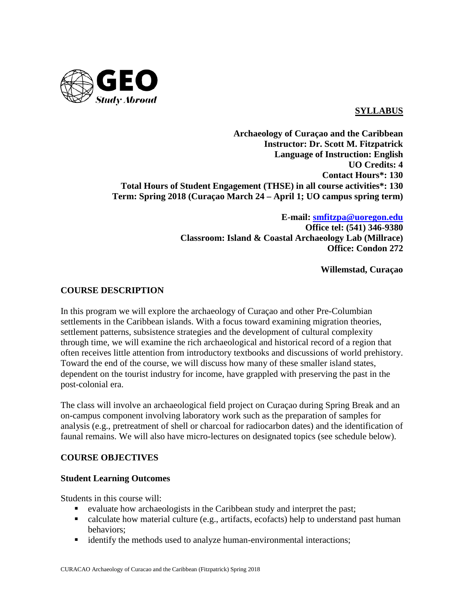

## **SYLLABUS**

**Archaeology of Curaçao and the Caribbean Instructor: Dr. Scott M. Fitzpatrick Language of Instruction: English UO Credits: 4 Contact Hours\*: 130 Total Hours of Student Engagement (THSE) in all course activities\*: 130 Term: Spring 2018 (Curaçao March 24 – April 1; UO campus spring term)**

> **E-mail: [smfitzpa@uoregon.edu](mailto:smfitzpa@uoregon.edu) Office tel: (541) 346-9380 Classroom: Island & Coastal Archaeology Lab (Millrace) Office: Condon 272**

> > **Willemstad, Curaçao**

## **COURSE DESCRIPTION**

In this program we will explore the archaeology of Curaçao and other Pre-Columbian settlements in the Caribbean islands. With a focus toward examining migration theories, settlement patterns, subsistence strategies and the development of cultural complexity through time, we will examine the rich archaeological and historical record of a region that often receives little attention from introductory textbooks and discussions of world prehistory. Toward the end of the course, we will discuss how many of these smaller island states, dependent on the tourist industry for income, have grappled with preserving the past in the post-colonial era.

The class will involve an archaeological field project on Curaçao during Spring Break and an on-campus component involving laboratory work such as the preparation of samples for analysis (e.g., pretreatment of shell or charcoal for radiocarbon dates) and the identification of faunal remains. We will also have micro-lectures on designated topics (see schedule below).

## **COURSE OBJECTIVES**

## **Student Learning Outcomes**

Students in this course will:

- evaluate how archaeologists in the Caribbean study and interpret the past;
- calculate how material culture (e.g., artifacts, ecofacts) help to understand past human behaviors;
- identify the methods used to analyze human-environmental interactions;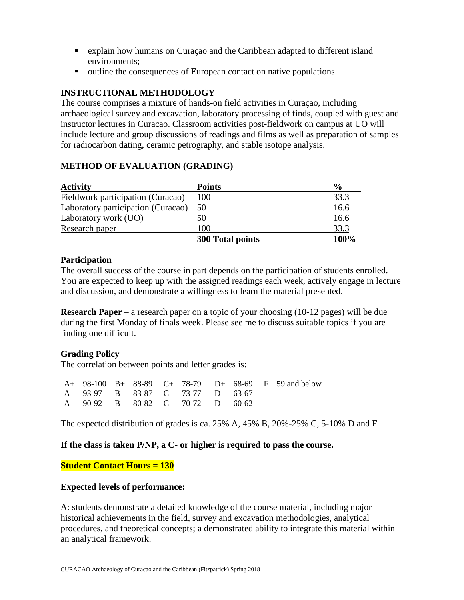- explain how humans on Curaçao and the Caribbean adapted to different island environments;
- outline the consequences of European contact on native populations.

# **INSTRUCTIONAL METHODOLOGY**

The course comprises a mixture of hands-on field activities in Curaçao, including archaeological survey and excavation, laboratory processing of finds, coupled with guest and instructor lectures in Curacao. Classroom activities post-fieldwork on campus at UO will include lecture and group discussions of readings and films as well as preparation of samples for radiocarbon dating, ceramic petrography, and stable isotope analysis.

| <b>Activity</b>                    | <b>Points</b>    | $\frac{6}{9}$ |
|------------------------------------|------------------|---------------|
| Fieldwork participation (Curacao)  | 100              | 33.3          |
| Laboratory participation (Curacao) | 50               | 16.6          |
| Laboratory work (UO)               | 50               | 16.6          |
| Research paper                     | 100              | 33.3          |
|                                    | 300 Total points | 100%          |

# **METHOD OF EVALUATION (GRADING)**

## **Participation**

The overall success of the course in part depends on the participation of students enrolled. You are expected to keep up with the assigned readings each week, actively engage in lecture and discussion, and demonstrate a willingness to learn the material presented.

**Research Paper** – a research paper on a topic of your choosing (10-12 pages) will be due during the first Monday of finals week. Please see me to discuss suitable topics if you are finding one difficult.

## **Grading Policy**

The correlation between points and letter grades is:

|                                     |  |  |  | $A+98-100$ B + $88-89$ C + $78-79$ D + $68-69$ F 59 and below |
|-------------------------------------|--|--|--|---------------------------------------------------------------|
| A 93-97 B 83-87 C 73-77 D 63-67     |  |  |  |                                                               |
| A- 90-92 B- 80-82 C- 70-72 D- 60-62 |  |  |  |                                                               |

The expected distribution of grades is ca. 25% A, 45% B, 20%-25% C, 5-10% D and F

## **If the class is taken P/NP, a C- or higher is required to pass the course.**

**Student Contact Hours = 130**

## **Expected levels of performance:**

A: students demonstrate a detailed knowledge of the course material, including major historical achievements in the field, survey and excavation methodologies, analytical procedures, and theoretical concepts; a demonstrated ability to integrate this material within an analytical framework.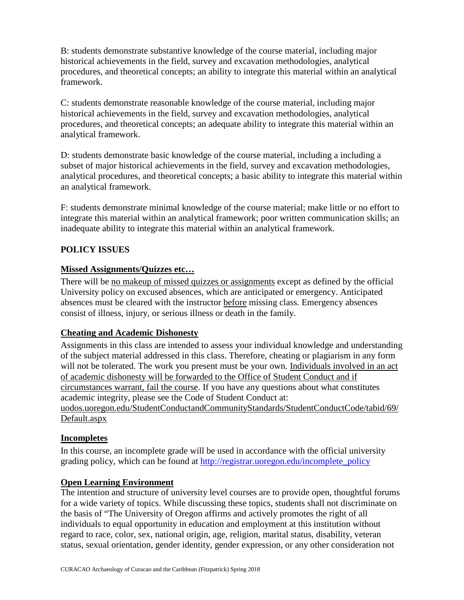B: students demonstrate substantive knowledge of the course material, including major historical achievements in the field, survey and excavation methodologies, analytical procedures, and theoretical concepts; an ability to integrate this material within an analytical framework.

C: students demonstrate reasonable knowledge of the course material, including major historical achievements in the field, survey and excavation methodologies, analytical procedures, and theoretical concepts; an adequate ability to integrate this material within an analytical framework.

D: students demonstrate basic knowledge of the course material, including a including a subset of major historical achievements in the field, survey and excavation methodologies, analytical procedures, and theoretical concepts; a basic ability to integrate this material within an analytical framework.

F: students demonstrate minimal knowledge of the course material; make little or no effort to integrate this material within an analytical framework; poor written communication skills; an inadequate ability to integrate this material within an analytical framework.

## **POLICY ISSUES**

#### **Missed Assignments/Quizzes etc…**

There will be no makeup of missed quizzes or assignments except as defined by the official University policy on excused absences, which are anticipated or emergency. Anticipated absences must be cleared with the instructor before missing class. Emergency absences consist of illness, injury, or serious illness or death in the family.

## **Cheating and Academic Dishonesty**

Assignments in this class are intended to assess your individual knowledge and understanding of the subject material addressed in this class. Therefore, cheating or plagiarism in any form will not be tolerated. The work you present must be your own. Individuals involved in an act of academic dishonesty will be forwarded to the Office of Student Conduct and if circumstances warrant, fail the course. If you have any questions about what constitutes academic integrity, please see the Code of Student Conduct at: uodos.uoregon.edu/StudentConductandCommunityStandards/StudentConductCode/tabid/69/ Default.aspx

## **Incompletes**

In this course, an incomplete grade will be used in accordance with the official university grading policy, which can be found at [http://registrar.uoregon.edu/incomplete\\_policy](http://registrar.uoregon.edu/incomplete_policy)

#### **Open Learning Environment**

The intention and structure of university level courses are to provide open, thoughtful forums for a wide variety of topics. While discussing these topics, students shall not discriminate on the basis of "The University of Oregon affirms and actively promotes the right of all individuals to equal opportunity in education and employment at this institution without regard to race, color, sex, national origin, age, religion, marital status, disability, veteran status, sexual orientation, gender identity, gender expression, or any other consideration not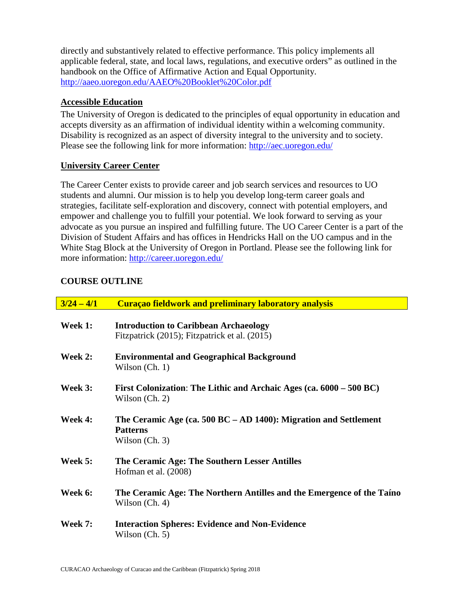directly and substantively related to effective performance. This policy implements all applicable federal, state, and local laws, regulations, and executive orders" as outlined in the handbook on the Office of Affirmative Action and Equal Opportunity. <http://aaeo.uoregon.edu/AAEO%20Booklet%20Color.pdf>

## **Accessible Education**

The University of Oregon is dedicated to the principles of equal opportunity in education and accepts diversity as an affirmation of individual identity within a welcoming community. Disability is recognized as an aspect of diversity integral to the university and to society. Please see the following link for more information: http://aec.uoregon.edu/

## **University Career Center**

The Career Center exists to provide career and job search services and resources to UO students and alumni. Our mission is to help you develop long-term career goals and strategies, facilitate self-exploration and discovery, connect with potential employers, and empower and challenge you to fulfill your potential. We look forward to serving as your advocate as you pursue an inspired and fulfilling future. The UO Career Center is a part of the Division of Student Affairs and has offices in Hendricks Hall on the UO campus and in the White Stag Block at the University of Oregon in Portland. Please see the following link for more information:<http://career.uoregon.edu/>

# **COURSE OUTLINE**

| $3/24 - 4/1$   | <b>Curaçao fieldwork and preliminary laboratory analysis</b>                                            |
|----------------|---------------------------------------------------------------------------------------------------------|
| Week 1:        | <b>Introduction to Caribbean Archaeology</b><br>Fitzpatrick (2015); Fitzpatrick et al. (2015)           |
| Week 2:        | <b>Environmental and Geographical Background</b><br>Wilson $(Ch. 1)$                                    |
| Week 3:        | First Colonization: The Lithic and Archaic Ages (ca. 6000 – 500 BC)<br>Wilson $(Ch. 2)$                 |
| Week 4:        | The Ceramic Age (ca. 500 BC $-$ AD 1400): Migration and Settlement<br><b>Patterns</b><br>Wilson (Ch. 3) |
| Week 5:        | The Ceramic Age: The Southern Lesser Antilles<br>Hofman et al. (2008)                                   |
| Week 6:        | The Ceramic Age: The Northern Antilles and the Emergence of the Taino<br>Wilson (Ch. 4)                 |
| <b>Week 7:</b> | <b>Interaction Spheres: Evidence and Non-Evidence</b><br>Wilson $(Ch. 5)$                               |